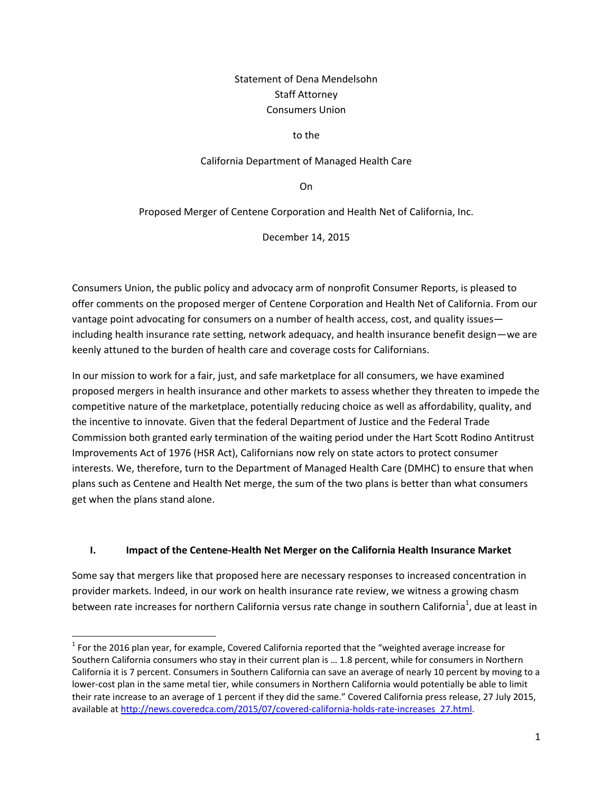## Statement of Dena Mendelsohn Staff Attorney Consumers Union

### to the

### California Department of Managed Health Care

On

Proposed Merger of Centene Corporation and Health Net of California, Inc.

December 14, 2015

Consumers Union, the public policy and advocacy arm of nonprofit Consumer Reports, is pleased to offer comments on the proposed merger of Centene Corporation and Health Net of California. From our vantage point advocating for consumers on a number of health access, cost, and quality issues including health insurance rate setting, network adequacy, and health insurance benefit design—we are keenly attuned to the burden of health care and coverage costs for Californians.

In our mission to work for a fair, just, and safe marketplace for all consumers, we have examined proposed mergers in health insurance and other markets to assess whether they threaten to impede the competitive nature of the marketplace, potentially reducing choice as well as affordability, quality, and the incentive to innovate. Given that the federal Department of Justice and the Federal Trade Commission both granted early termination of the waiting period under the Hart Scott Rodino Antitrust Improvements Act of 1976 (HSR Act), Californians now rely on state actors to protect consumer interests. We, therefore, turn to the Department of Managed Health Care (DMHC) to ensure that when plans such as Centene and Health Net merge, the sum of the two plans is better than what consumers get when the plans stand alone.

#### **I. Impact of the Centene-Health Net Merger on the California Health Insurance Market**

Some say that mergers like that proposed here are necessary responses to increased concentration in provider markets. Indeed, in our work on health insurance rate review, we witness a growing chasm between rate increases for northern California versus rate change in southern California<sup>1</sup>, due at least in

l

 $^{1}$  For the 2016 plan year, for example, Covered California reported that the "weighted average increase for Southern California consumers who stay in their current plan is … 1.8 percent, while for consumers in Northern California it is 7 percent. Consumers in Southern California can save an average of nearly 10 percent by moving to a lower-cost plan in the same metal tier, while consumers in Northern California would potentially be able to limit their rate increase to an average of 1 percent if they did the same." Covered California press release, 27 July 2015, available a[t http://news.coveredca.com/2015/07/covered-california-holds-rate-increases\\_27.html.](http://news.coveredca.com/2015/07/covered-california-holds-rate-increases_27.html)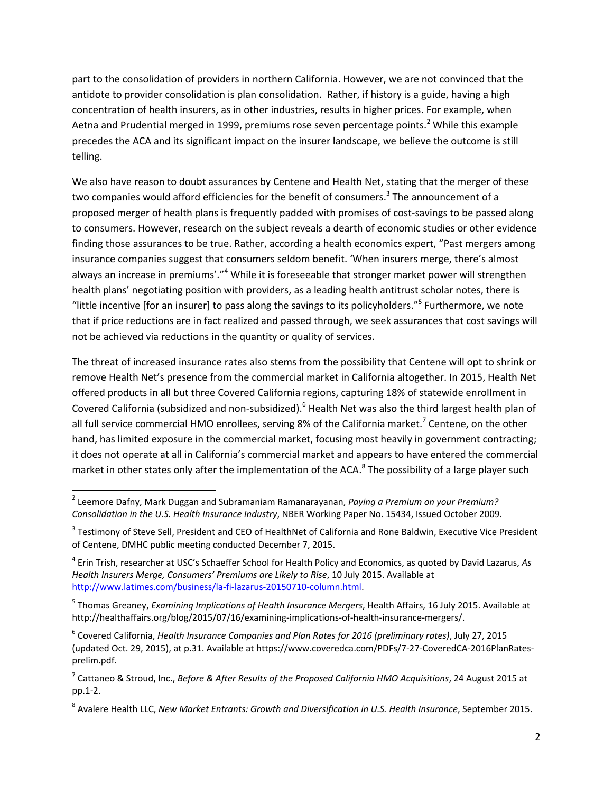part to the consolidation of providers in northern California. However, we are not convinced that the antidote to provider consolidation is plan consolidation. Rather, if history is a guide, having a high concentration of health insurers, as in other industries, results in higher prices. For example, when Aetna and Prudential merged in 1999, premiums rose seven percentage points.<sup>2</sup> While this example precedes the ACA and its significant impact on the insurer landscape, we believe the outcome is still telling.

We also have reason to doubt assurances by Centene and Health Net, stating that the merger of these two companies would afford efficiencies for the benefit of consumers.<sup>3</sup> The announcement of a proposed merger of health plans is frequently padded with promises of cost-savings to be passed along to consumers. However, research on the subject reveals a dearth of economic studies or other evidence finding those assurances to be true. Rather, according a health economics expert, "Past mergers among insurance companies suggest that consumers seldom benefit. 'When insurers merge, there's almost always an increase in premiums'."<sup>4</sup> While it is foreseeable that stronger market power will strengthen health plans' negotiating position with providers, as a leading health antitrust scholar notes, there is "little incentive [for an insurer] to pass along the savings to its policyholders."<sup>5</sup> Furthermore, we note that if price reductions are in fact realized and passed through, we seek assurances that cost savings will not be achieved via reductions in the quantity or quality of services.

The threat of increased insurance rates also stems from the possibility that Centene will opt to shrink or remove Health Net's presence from the commercial market in California altogether. In 2015, Health Net offered products in all but three Covered California regions, capturing 18% of statewide enrollment in Covered California (subsidized and non-subsidized).<sup>6</sup> Health Net was also the third largest health plan of all full service commercial HMO enrollees, serving 8% of the California market.<sup>7</sup> Centene, on the other hand, has limited exposure in the commercial market, focusing most heavily in government contracting; it does not operate at all in California's commercial market and appears to have entered the commercial market in other states only after the implementation of the ACA.<sup>8</sup> The possibility of a large player such

 2 Leemore Dafny, Mark Duggan and Subramaniam Ramanarayanan, *Paying a Premium on your Premium? Consolidation in the U.S. Health Insurance Industry*, NBER Working Paper No. 15434, Issued October 2009.

 $3$  Testimony of Steve Sell, President and CEO of HealthNet of California and Rone Baldwin, Executive Vice President of Centene, DMHC public meeting conducted December 7, 2015.

<sup>4</sup> Erin Trish, researcher at USC's Schaeffer School for Health Policy and Economics, as quoted by David Lazarus, *As Health Insurers Merge, Consumers' Premiums are Likely to Rise*, 10 July 2015. Available at [http://www.latimes.com/business/la-fi-lazarus-20150710-column.html.](http://www.latimes.com/business/la-fi-lazarus-20150710-column.html)

<sup>5</sup> Thomas Greaney, *Examining Implications of Health Insurance Mergers*, Health Affairs, 16 July 2015. Available at http://healthaffairs.org/blog/2015/07/16/examining-implications-of-health-insurance-mergers/.

<sup>6</sup> Covered California, *Health Insurance Companies and Plan Rates for 2016 (preliminary rates)*, July 27, 2015 (updated Oct. 29, 2015), at p.31. Available at https://www.coveredca.com/PDFs/7-27-CoveredCA-2016PlanRatesprelim.pdf.

<sup>7</sup> Cattaneo & Stroud, Inc., *Before & After Results of the Proposed California HMO Acquisitions*, 24 August 2015 at pp.1-2.

<sup>8</sup> Avalere Health LLC, *New Market Entrants: Growth and Diversification in U.S. Health Insurance*, September 2015.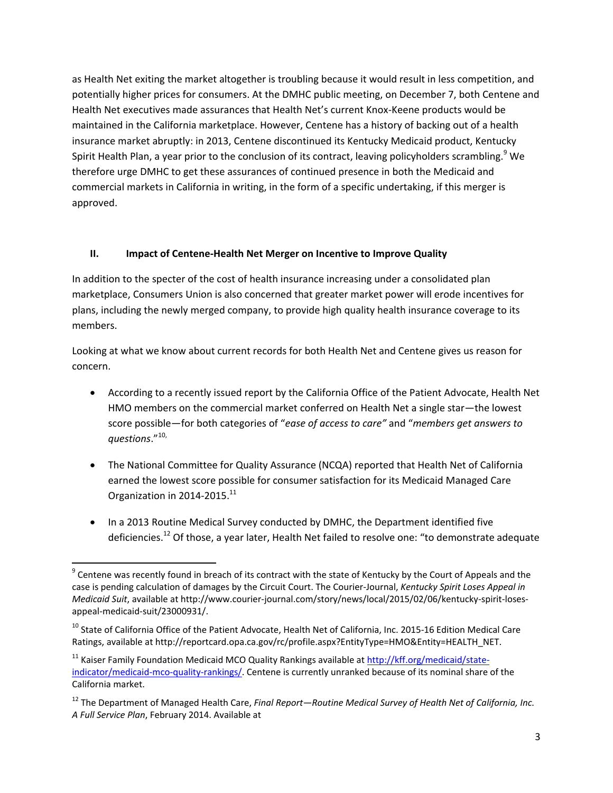as Health Net exiting the market altogether is troubling because it would result in less competition, and potentially higher prices for consumers. At the DMHC public meeting, on December 7, both Centene and Health Net executives made assurances that Health Net's current Knox-Keene products would be maintained in the California marketplace. However, Centene has a history of backing out of a health insurance market abruptly: in 2013, Centene discontinued its Kentucky Medicaid product, Kentucky Spirit Health Plan, a year prior to the conclusion of its contract, leaving policyholders scrambling.<sup>9</sup> We therefore urge DMHC to get these assurances of continued presence in both the Medicaid and commercial markets in California in writing, in the form of a specific undertaking, if this merger is approved.

## **II. Impact of Centene-Health Net Merger on Incentive to Improve Quality**

In addition to the specter of the cost of health insurance increasing under a consolidated plan marketplace, Consumers Union is also concerned that greater market power will erode incentives for plans, including the newly merged company, to provide high quality health insurance coverage to its members.

Looking at what we know about current records for both Health Net and Centene gives us reason for concern.

- According to a recently issued report by the California Office of the Patient Advocate, Health Net HMO members on the commercial market conferred on Health Net a single star—the lowest score possible—for both categories of "*ease of access to care"* and "*members get answers to questions*." 10,
- The National Committee for Quality Assurance (NCQA) reported that Health Net of California earned the lowest score possible for consumer satisfaction for its Medicaid Managed Care Organization in 2014-2015.<sup>11</sup>
- In a 2013 Routine Medical Survey conducted by DMHC, the Department identified five deficiencies.<sup>12</sup> Of those, a year later, Health Net failed to resolve one: "to demonstrate adequate

 $\overline{\phantom{a}}$ 

<sup>&</sup>lt;sup>9</sup> Centene was recently found in breach of its contract with the state of Kentucky by the Court of Appeals and the case is pending calculation of damages by the Circuit Court. The Courier-Journal, *Kentucky Spirit Loses Appeal in Medicaid Suit*, available at http://www.courier-journal.com/story/news/local/2015/02/06/kentucky-spirit-losesappeal-medicaid-suit/23000931/.

<sup>&</sup>lt;sup>10</sup> State of California Office of the Patient Advocate, Health Net of California, Inc. 2015-16 Edition Medical Care Ratings, available at http://reportcard.opa.ca.gov/rc/profile.aspx?EntityType=HMO&Entity=HEALTH\_NET.

<sup>&</sup>lt;sup>11</sup> Kaiser Family Foundation Medicaid MCO Quality Rankings available a[t http://kff.org/medicaid/state](http://kff.org/medicaid/state-indicator/medicaid-mco-quality-rankings/)[indicator/medicaid-mco-quality-rankings/.](http://kff.org/medicaid/state-indicator/medicaid-mco-quality-rankings/) Centene is currently unranked because of its nominal share of the California market.

<sup>12</sup> The Department of Managed Health Care, *Final Report—Routine Medical Survey of Health Net of California, Inc. A Full Service Plan*, February 2014. Available at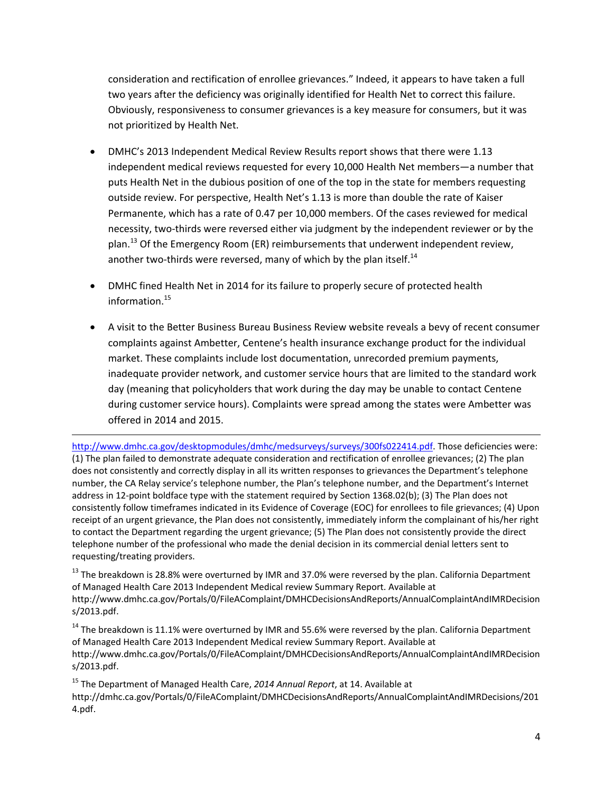consideration and rectification of enrollee grievances." Indeed, it appears to have taken a full two years after the deficiency was originally identified for Health Net to correct this failure. Obviously, responsiveness to consumer grievances is a key measure for consumers, but it was not prioritized by Health Net.

- DMHC's 2013 Independent Medical Review Results report shows that there were 1.13 independent medical reviews requested for every 10,000 Health Net members—a number that puts Health Net in the dubious position of one of the top in the state for members requesting outside review. For perspective, Health Net's 1.13 is more than double the rate of Kaiser Permanente, which has a rate of 0.47 per 10,000 members. Of the cases reviewed for medical necessity, two-thirds were reversed either via judgment by the independent reviewer or by the plan.<sup>13</sup> Of the Emergency Room (ER) reimbursements that underwent independent review, another two-thirds were reversed, many of which by the plan itself. $^{14}$
- DMHC fined Health Net in 2014 for its failure to properly secure of protected health information.<sup>15</sup>
- A visit to the Better Business Bureau Business Review website reveals a bevy of recent consumer complaints against Ambetter, Centene's health insurance exchange product for the individual market. These complaints include lost documentation, unrecorded premium payments, inadequate provider network, and customer service hours that are limited to the standard work day (meaning that policyholders that work during the day may be unable to contact Centene during customer service hours). Complaints were spread among the states were Ambetter was offered in 2014 and 2015.

 $\overline{\phantom{a}}$ [http://www.dmhc.ca.gov/desktopmodules/dmhc/medsurveys/surveys/300fs022414.pdf.](http://www.dmhc.ca.gov/desktopmodules/dmhc/medsurveys/surveys/300fs022414.pdf) Those deficiencies were: (1) The plan failed to demonstrate adequate consideration and rectification of enrollee grievances; (2) The plan does not consistently and correctly display in all its written responses to grievances the Department's telephone number, the CA Relay service's telephone number, the Plan's telephone number, and the Department's Internet address in 12-point boldface type with the statement required by Section 1368.02(b); (3) The Plan does not consistently follow timeframes indicated in its Evidence of Coverage (EOC) for enrollees to file grievances; (4) Upon receipt of an urgent grievance, the Plan does not consistently, immediately inform the complainant of his/her right to contact the Department regarding the urgent grievance; (5) The Plan does not consistently provide the direct telephone number of the professional who made the denial decision in its commercial denial letters sent to requesting/treating providers.

 $13$  The breakdown is 28.8% were overturned by IMR and 37.0% were reversed by the plan. California Department of Managed Health Care 2013 Independent Medical review Summary Report. Available at http://www.dmhc.ca.gov/Portals/0/FileAComplaint/DMHCDecisionsAndReports/AnnualComplaintAndIMRDecision s/2013.pdf.

 $14$  The breakdown is 11.1% were overturned by IMR and 55.6% were reversed by the plan. California Department of Managed Health Care 2013 Independent Medical review Summary Report. Available at http://www.dmhc.ca.gov/Portals/0/FileAComplaint/DMHCDecisionsAndReports/AnnualComplaintAndIMRDecision s/2013.pdf.

<sup>15</sup> The Department of Managed Health Care, *2014 Annual Report*, at 14. Available at http://dmhc.ca.gov/Portals/0/FileAComplaint/DMHCDecisionsAndReports/AnnualComplaintAndIMRDecisions/201 4.pdf.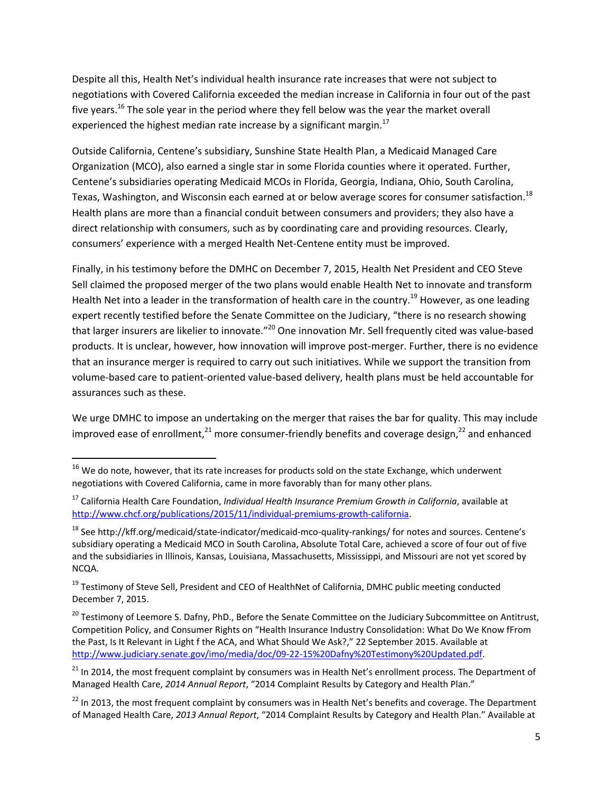Despite all this, Health Net's individual health insurance rate increases that were not subject to negotiations with Covered California exceeded the median increase in California in four out of the past five years.<sup>16</sup> The sole year in the period where they fell below was the year the market overall experienced the highest median rate increase by a significant margin. $^{17}$ 

Outside California, Centene's subsidiary, Sunshine State Health Plan, a Medicaid Managed Care Organization (MCO), also earned a single star in some Florida counties where it operated. Further, Centene's subsidiaries operating Medicaid MCOs in Florida, Georgia, Indiana, Ohio, South Carolina, Texas, Washington, and Wisconsin each earned at or below average scores for consumer satisfaction.<sup>18</sup> Health plans are more than a financial conduit between consumers and providers; they also have a direct relationship with consumers, such as by coordinating care and providing resources. Clearly, consumers' experience with a merged Health Net-Centene entity must be improved.

Finally, in his testimony before the DMHC on December 7, 2015, Health Net President and CEO Steve Sell claimed the proposed merger of the two plans would enable Health Net to innovate and transform Health Net into a leader in the transformation of health care in the country.<sup>19</sup> However, as one leading expert recently testified before the Senate Committee on the Judiciary, "there is no research showing that larger insurers are likelier to innovate."<sup>20</sup> One innovation Mr. Sell frequently cited was value-based products. It is unclear, however, how innovation will improve post-merger. Further, there is no evidence that an insurance merger is required to carry out such initiatives. While we support the transition from volume-based care to patient-oriented value-based delivery, health plans must be held accountable for assurances such as these.

We urge DMHC to impose an undertaking on the merger that raises the bar for quality. This may include improved ease of enrollment,<sup>21</sup> more consumer-friendly benefits and coverage design,<sup>22</sup> and enhanced

 $\overline{\phantom{a}}$ 

<sup>&</sup>lt;sup>16</sup> We do note, however, that its rate increases for products sold on the state Exchange, which underwent negotiations with Covered California, came in more favorably than for many other plans.

<sup>17</sup> California Health Care Foundation, *Individual Health Insurance Premium Growth in California*, available at [http://www.chcf.org/publications/2015/11/individual-premiums-growth-california.](http://www.chcf.org/publications/2015/11/individual-premiums-growth-california)

<sup>&</sup>lt;sup>18</sup> See http://kff.org/medicaid/state-indicator/medicaid-mco-quality-rankings/ for notes and sources. Centene's subsidiary operating a Medicaid MCO in South Carolina, Absolute Total Care, achieved a score of four out of five and the subsidiaries in Illinois, Kansas, Louisiana, Massachusetts, Mississippi, and Missouri are not yet scored by NCQA.

<sup>&</sup>lt;sup>19</sup> Testimony of Steve Sell, President and CEO of HealthNet of California, DMHC public meeting conducted December 7, 2015.

<sup>&</sup>lt;sup>20</sup> Testimony of Leemore S. Dafny, PhD., Before the Senate Committee on the Judiciary Subcommittee on Antitrust, Competition Policy, and Consumer Rights on "Health Insurance Industry Consolidation: What Do We Know fFrom the Past, Is It Relevant in Light f the ACA, and What Should We Ask?," 22 September 2015. Available at [http://www.judiciary.senate.gov/imo/media/doc/09-22-15%20Dafny%20Testimony%20Updated.pdf.](http://www.judiciary.senate.gov/imo/media/doc/09-22-15%20Dafny%20Testimony%20Updated.pdf)

<sup>&</sup>lt;sup>21</sup> In 2014, the most frequent complaint by consumers was in Health Net's enrollment process. The Department of Managed Health Care, *2014 Annual Report*, "2014 Complaint Results by Category and Health Plan."

<sup>&</sup>lt;sup>22</sup> In 2013, the most frequent complaint by consumers was in Health Net's benefits and coverage. The Department of Managed Health Care, *2013 Annual Report*, "2014 Complaint Results by Category and Health Plan." Available at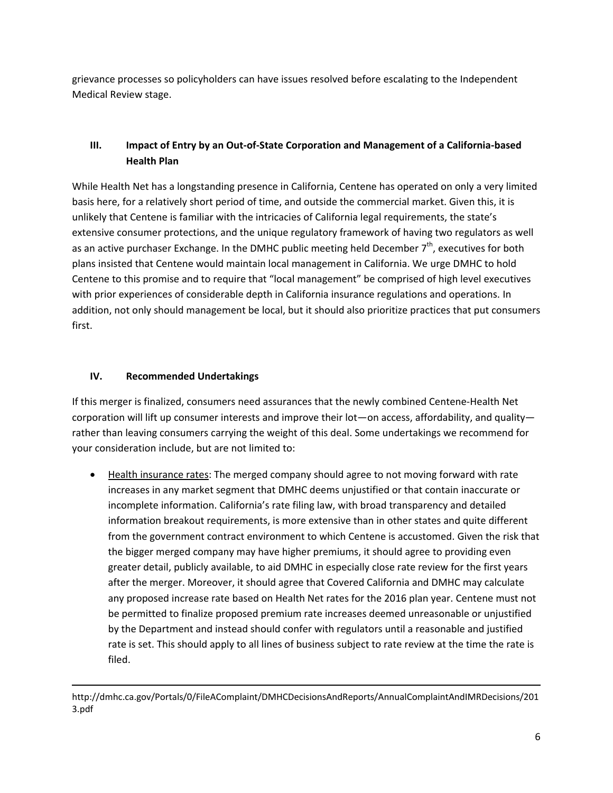grievance processes so policyholders can have issues resolved before escalating to the Independent Medical Review stage.

# **III. Impact of Entry by an Out-of-State Corporation and Management of a California-based Health Plan**

While Health Net has a longstanding presence in California, Centene has operated on only a very limited basis here, for a relatively short period of time, and outside the commercial market. Given this, it is unlikely that Centene is familiar with the intricacies of California legal requirements, the state's extensive consumer protections, and the unique regulatory framework of having two regulators as well as an active purchaser Exchange. In the DMHC public meeting held December  $7<sup>th</sup>$ , executives for both plans insisted that Centene would maintain local management in California. We urge DMHC to hold Centene to this promise and to require that "local management" be comprised of high level executives with prior experiences of considerable depth in California insurance regulations and operations. In addition, not only should management be local, but it should also prioritize practices that put consumers first.

## **IV. Recommended Undertakings**

 $\overline{\phantom{a}}$ 

If this merger is finalized, consumers need assurances that the newly combined Centene-Health Net corporation will lift up consumer interests and improve their lot—on access, affordability, and quality rather than leaving consumers carrying the weight of this deal. Some undertakings we recommend for your consideration include, but are not limited to:

 Health insurance rates: The merged company should agree to not moving forward with rate increases in any market segment that DMHC deems unjustified or that contain inaccurate or incomplete information. California's rate filing law, with broad transparency and detailed information breakout requirements, is more extensive than in other states and quite different from the government contract environment to which Centene is accustomed. Given the risk that the bigger merged company may have higher premiums, it should agree to providing even greater detail, publicly available, to aid DMHC in especially close rate review for the first years after the merger. Moreover, it should agree that Covered California and DMHC may calculate any proposed increase rate based on Health Net rates for the 2016 plan year. Centene must not be permitted to finalize proposed premium rate increases deemed unreasonable or unjustified by the Department and instead should confer with regulators until a reasonable and justified rate is set. This should apply to all lines of business subject to rate review at the time the rate is filed.

http://dmhc.ca.gov/Portals/0/FileAComplaint/DMHCDecisionsAndReports/AnnualComplaintAndIMRDecisions/201 3.pdf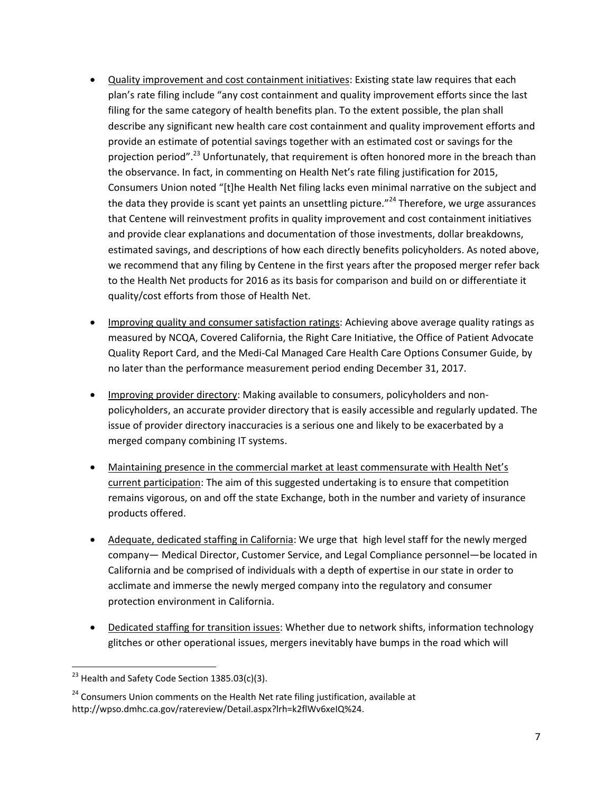- Quality improvement and cost containment initiatives: Existing state law requires that each plan's rate filing include "any cost containment and quality improvement efforts since the last filing for the same category of health benefits plan. To the extent possible, the plan shall describe any significant new health care cost containment and quality improvement efforts and provide an estimate of potential savings together with an estimated cost or savings for the projection period".<sup>23</sup> Unfortunately, that requirement is often honored more in the breach than the observance. In fact, in commenting on Health Net's rate filing justification for 2015, Consumers Union noted "[t]he Health Net filing lacks even minimal narrative on the subject and the data they provide is scant yet paints an unsettling picture."<sup>24</sup> Therefore, we urge assurances that Centene will reinvestment profits in quality improvement and cost containment initiatives and provide clear explanations and documentation of those investments, dollar breakdowns, estimated savings, and descriptions of how each directly benefits policyholders. As noted above, we recommend that any filing by Centene in the first years after the proposed merger refer back to the Health Net products for 2016 as its basis for comparison and build on or differentiate it quality/cost efforts from those of Health Net.
- Improving quality and consumer satisfaction ratings: Achieving above average quality ratings as measured by NCQA, Covered California, the Right Care Initiative, the Office of Patient Advocate Quality Report Card, and the Medi-Cal Managed Care Health Care Options Consumer Guide, by no later than the performance measurement period ending December 31, 2017.
- Improving provider directory: Making available to consumers, policyholders and nonpolicyholders, an accurate provider directory that is easily accessible and regularly updated. The issue of provider directory inaccuracies is a serious one and likely to be exacerbated by a merged company combining IT systems.
- Maintaining presence in the commercial market at least commensurate with Health Net's current participation: The aim of this suggested undertaking is to ensure that competition remains vigorous, on and off the state Exchange, both in the number and variety of insurance products offered.
- Adequate, dedicated staffing in California: We urge that high level staff for the newly merged company— Medical Director, Customer Service, and Legal Compliance personnel—be located in California and be comprised of individuals with a depth of expertise in our state in order to acclimate and immerse the newly merged company into the regulatory and consumer protection environment in California.
- Dedicated staffing for transition issues: Whether due to network shifts, information technology glitches or other operational issues, mergers inevitably have bumps in the road which will

 $\overline{\phantom{a}}$ 

 $^{23}$  Health and Safety Code Section 1385.03(c)(3).

 $24$  Consumers Union comments on the Health Net rate filing justification, available at http://wpso.dmhc.ca.gov/ratereview/Detail.aspx?lrh=k2flWv6xeIQ%24.